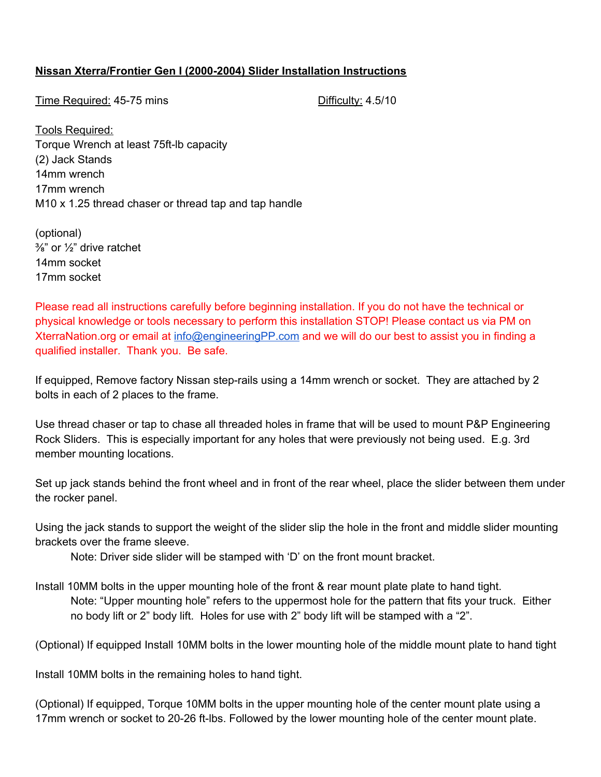## **Nissan Xterra/Frontier Gen I (20002004) Slider Installation Instructions**

Time Required: 45-75 mins **Difficulty: 4.5/10** 

Tools Required: Torque Wrench at least 75ft-lb capacity (2) Jack Stands 14mm wrench 17mm wrench M10 x 1.25 thread chaser or thread tap and tap handle

(optional)  $\frac{3}{8}$ " or  $\frac{1}{2}$ " drive ratchet 14mm socket 17mm socket

Please read all instructions carefully before beginning installation. If you do not have the technical or physical knowledge or tools necessary to perform this installation STOP! Please contact us via PM on XterraNation.org or email at [info@engineeringPP.com](mailto:info@engineeringPP.com) and we will do our best to assist you in finding a qualified installer. Thank you. Be safe.

If equipped, Remove factory Nissan step-rails using a 14mm wrench or socket. They are attached by 2 bolts in each of 2 places to the frame.

Use thread chaser or tap to chase all threaded holes in frame that will be used to mount P&P Engineering Rock Sliders. This is especially important for any holes that were previously not being used. E.g. 3rd member mounting locations.

Set up jack stands behind the front wheel and in front of the rear wheel, place the slider between them under the rocker panel.

Using the jack stands to support the weight of the slider slip the hole in the front and middle slider mounting brackets over the frame sleeve.

Note: Driver side slider will be stamped with 'D' on the front mount bracket.

Install 10MM bolts in the upper mounting hole of the front & rear mount plate plate to hand tight. Note: "Upper mounting hole" refers to the uppermost hole for the pattern that fits your truck. Either no body lift or 2" body lift. Holes for use with 2" body lift will be stamped with a "2".

(Optional) If equipped Install 10MM bolts in the lower mounting hole of the middle mount plate to hand tight

Install 10MM bolts in the remaining holes to hand tight.

(Optional) If equipped, Torque 10MM bolts in the upper mounting hole of the center mount plate using a 17mm wrench or socket to 20-26 ft-lbs. Followed by the lower mounting hole of the center mount plate.